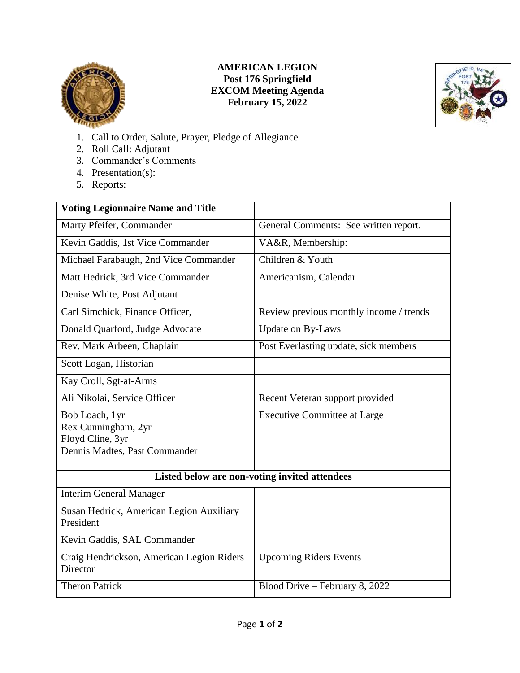

## **AMERICAN LEGION Post 176 Springfield EXCOM Meeting Agenda February 15, 2022**



- 1. Call to Order, Salute, Prayer, Pledge of Allegiance
- 2. Roll Call: Adjutant
- 3. Commander's Comments
- 4. Presentation(s):
- 5. Reports:

| <b>Voting Legionnaire Name and Title</b>              |                                         |
|-------------------------------------------------------|-----------------------------------------|
| Marty Pfeifer, Commander                              | General Comments: See written report.   |
| Kevin Gaddis, 1st Vice Commander                      | VA&R, Membership:                       |
| Michael Farabaugh, 2nd Vice Commander                 | Children & Youth                        |
| Matt Hedrick, 3rd Vice Commander                      | Americanism, Calendar                   |
| Denise White, Post Adjutant                           |                                         |
| Carl Simchick, Finance Officer,                       | Review previous monthly income / trends |
| Donald Quarford, Judge Advocate                       | <b>Update on By-Laws</b>                |
| Rev. Mark Arbeen, Chaplain                            | Post Everlasting update, sick members   |
| Scott Logan, Historian                                |                                         |
| Kay Croll, Sgt-at-Arms                                |                                         |
| Ali Nikolai, Service Officer                          | Recent Veteran support provided         |
| Bob Loach, 1yr                                        | <b>Executive Committee at Large</b>     |
| Rex Cunningham, 2yr                                   |                                         |
| Floyd Cline, 3yr                                      |                                         |
| Dennis Madtes, Past Commander                         |                                         |
| Listed below are non-voting invited attendees         |                                         |
| <b>Interim General Manager</b>                        |                                         |
| Susan Hedrick, American Legion Auxiliary              |                                         |
| President                                             |                                         |
| Kevin Gaddis, SAL Commander                           |                                         |
| Craig Hendrickson, American Legion Riders<br>Director | <b>Upcoming Riders Events</b>           |
| <b>Theron Patrick</b>                                 | Blood Drive - February 8, 2022          |